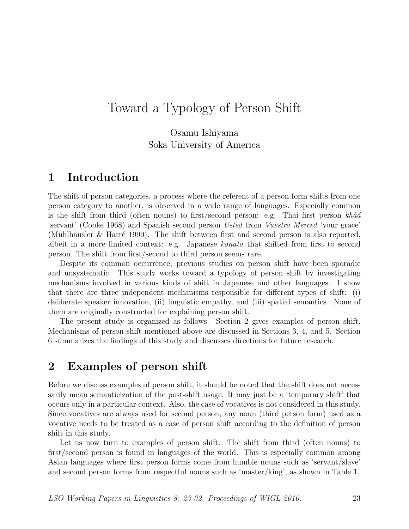Osamu Ishiyama Soka University of America

# 1 Introduction

The shift of person categories, a process where the referent of a person form shifts from one person category to another, is observed in a wide range of languages. Especially common is the shift from third (often nouns) to first/second person: e.g. Thai first person  $kh\hat{a}\hat{a}$ 'servant' (Cooke 1968) and Spanish second person Usted from Vuestra Merced 'your grace' (Mühlhäusler & Harré 1990). The shift between first and second person is also reported, albeit in a more limited context: e.g. Japanese konata that shifted from first to second person. The shift from first/second to third person seems rare.

Despite its common occurrence, previous studies on person shift have been sporadic and unsystematic. This study works toward a typology of person shift by investigating mechanisms involved in various kinds of shift in Japanese and other languages. I show that there are three independent mechanisms responsible for different types of shift: (i) deliberate speaker innovation, (ii) linguistic empathy, and (iii) spatial semantics. None of them are originally constructed for explaining person shift.

The present study is organized as follows. Section 2 gives examples of person shift. Mechanisms of person shift mentioned above are discussed in Sections 3, 4, and 5. Section 6 summarizes the findings of this study and discusses directions for future research.

# 2 Examples of person shift

Before we discuss examples of person shift, it should be noted that the shift does not necessarily mean semanticization of the post-shift usage. It may just be a 'temporary shift' that occurs only in a particular context. Also, the case of vocatives is not considered in this study. Since vocatives are always used for second person, any noun (third person form) used as a vocative needs to be treated as a case of person shift according to the definition of person shift in this study.

Let us now turn to examples of person shift. The shift from third (often nouns) to first/second person is found in languages of the world. This is especially common among Asian languages where first person forms come from humble nouns such as 'servant/slave' and second person forms from respectful nouns such as 'master/king', as shown in Table 1.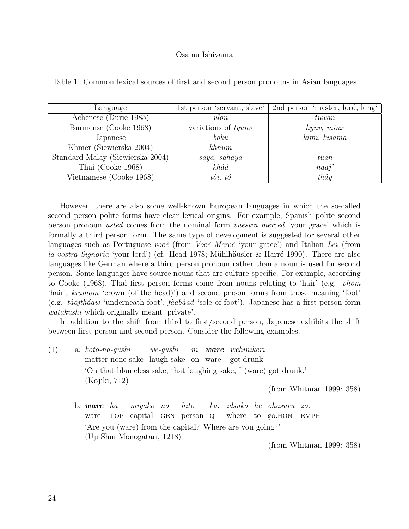| Language                         | 1st person 'servant, slave'        | 2nd person 'master, lord, king' |
|----------------------------------|------------------------------------|---------------------------------|
| Achenese (Durie 1985)            | ulon                               | tuwan                           |
| Burmense (Cooke 1968)            | variations of <i>tyunv</i>         | hynv, minx                      |
| Japanese                         | boku                               | kimi, kisama                    |
| Khmer (Siewierska 2004)          | $k$ hnum                           |                                 |
| Standard Malay (Siewierska 2004) | saya, sahaya                       | tuan                            |
| Thai (Cooke 1968)                | $kh\hat{a}\hat{a}$                 | naaj'                           |
| Vietnamese (Cooke 1968)          | $t\hat{o}$ <i>i</i> , $t\acute{o}$ | $th\hat{a}y$                    |

Table 1: Common lexical sources of first and second person pronouns in Asian languages

However, there are also some well-known European languages in which the so-called second person polite forms have clear lexical origins. For example, Spanish polite second person pronoun usted comes from the nominal form vuestra merced 'your grace' which is formally a third person form. The same type of development is suggested for several other languages such as Portuguese você (from Você Mercê 'your grace') and Italian Lei (from la vostra Signoria 'your lord') (cf. Head 1978; Mühlhäusler & Harré 1990). There are also languages like German where a third person pronoun rather than a noun is used for second person. Some languages have source nouns that are culture-specific. For example, according to Cooke (1968), Thai first person forms come from nouns relating to 'hair' (e.g. phom 'hair', kramom 'crown (of the head)') and second person forms from those meaning 'foot' (e.g.  $t\hat{a}ajth\hat{a}aw$  'underneath foot',  $\hat{f}aab\hat{a}ad$  'sole of foot'). Japanese has a first person form watakushi which originally meant 'private'.

In addition to the shift from third to first/second person, Japanese exhibits the shift between first person and second person. Consider the following examples.

 $(1)$  a. koto-na-gushi matter-none-sake laugh-sake on ware we-gushi ni ware wehinikeri got.drunk 'On that blameless sake, that laughing sake, I (ware) got drunk.' (Kojiki, 712)

(from Whitman 1999: 358)

b. ware ha ware TOP miyako no capital GEN person Q hito ka. idsuko he ohasuru zo. where to go.hon **EMPH** 'Are you (ware) from the capital? Where are you going?' (Uji Shui Monogatari, 1218)

(from Whitman 1999: 358)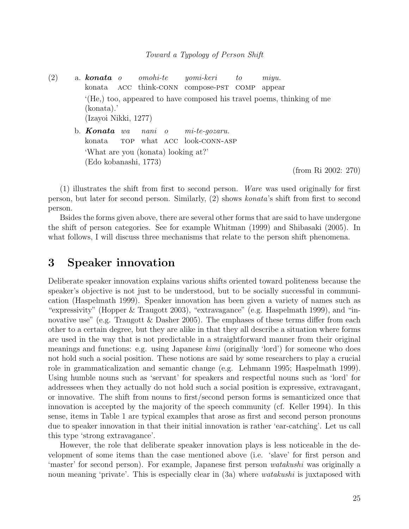$(2)$  a. konata o konata acc think-conn compose-pst comp appear omohi-te yomi-keri to miyu. '(He,) too, appeared to have composed his travel poems, thinking of me (konata).' (Izayoi Nikki, 1277) b. **Konata** wa nani o mi-te-gozaru.

konata TOP what ACC look-CONN-ASP 'What are you (konata) looking at?' (Edo kobanashi, 1773)

(from Ri 2002: 270)

(1) illustrates the shift from first to second person. Ware was used originally for first person, but later for second person. Similarly, (2) shows konata's shift from first to second person.

Bsides the forms given above, there are several other forms that are said to have undergone the shift of person categories. See for example Whitman (1999) and Shibasaki (2005). In what follows, I will discuss three mechanisms that relate to the person shift phenomena.

# 3 Speaker innovation

Deliberate speaker innovation explains various shifts oriented toward politeness because the speaker's objective is not just to be understood, but to be socially successful in communication (Haspelmath 1999). Speaker innovation has been given a variety of names such as "expressivity" (Hopper & Traugott 2003), "extravagance" (e.g. Haspelmath 1999), and "innovative use" (e.g. Traugott  $\&$  Dasher 2005). The emphases of these terms differ from each other to a certain degree, but they are alike in that they all describe a situation where forms are used in the way that is not predictable in a straightforward manner from their original meanings and functions: e.g. using Japanese  $kimi$  (originally 'lord') for someone who does not hold such a social position. These notions are said by some researchers to play a crucial role in grammaticalization and semantic change (e.g. Lehmann 1995; Haspelmath 1999). Using humble nouns such as 'servant' for speakers and respectful nouns such as 'lord' for addressees when they actually do not hold such a social position is expressive, extravagant, or innovative. The shift from nouns to first/second person forms is semanticized once that innovation is accepted by the majority of the speech community (cf. Keller 1994). In this sense, items in Table 1 are typical examples that arose as first and second person pronouns due to speaker innovation in that their initial innovation is rather 'ear-catching'. Let us call this type 'strong extravagance'.

However, the role that deliberate speaker innovation plays is less noticeable in the development of some items than the case mentioned above (i.e. 'slave' for first person and 'master' for second person). For example, Japanese first person watakushi was originally a noun meaning 'private'. This is especially clear in (3a) where *watakushi* is juxtaposed with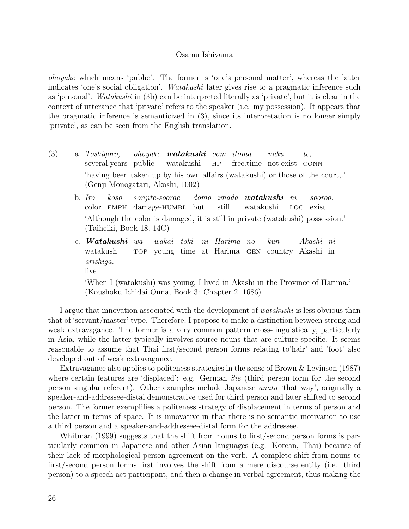ohoyake which means 'public'. The former is 'one's personal matter', whereas the latter indicates 'one's social obligation'. Watakushi later gives rise to a pragmatic inference such as 'personal'. Watakushi in (3b) can be interpreted literally as 'private', but it is clear in the context of utterance that 'private' refers to the speaker (i.e. my possession). It appears that the pragmatic inference is semanticized in (3), since its interpretation is no longer simply 'private', as can be seen from the English translation.

- (3) a. Toshigoro, several.years public ohoyake **watakushi** oom itoma watakushi  $HP$ free.time not.exist conn naku te, 'having been taken up by his own affairs (watakushi) or those of the court,.' (Genji Monogatari, Akashi, 1002)
	- b. Iro color EMPH damage-HUMBL but koso sonjite-soorae domo imada watakushi ni still watakushi loc sooroo. exist 'Although the color is damaged, it is still in private (watakushi) possession.' (Taiheiki, Book 18, 14C)
	- c. Watakushi wa watakush top young time at Harima gen country Akashi in wakai toki ni Harima no kun Akashi ni arishiga, live

'When I (watakushi) was young, I lived in Akashi in the Province of Harima.' (Koushoku Ichidai Onna, Book 3: Chapter 2, 1686)

I argue that innovation associated with the development of *watakushi* is less obvious than that of 'servant/master' type. Therefore, I propose to make a distinction between strong and weak extravagance. The former is a very common pattern cross-linguistically, particularly in Asia, while the latter typically involves source nouns that are culture-specific. It seems reasonable to assume that Thai first/second person forms relating to'hair' and 'foot' also developed out of weak extravagance.

Extravagance also applies to politeness strategies in the sense of Brown & Levinson (1987) where certain features are 'displaced': e.g. German Sie (third person form for the second person singular referent). Other examples include Japanese anata 'that way', originally a speaker-and-addressee-distal demonstrative used for third person and later shifted to second person. The former exemplifies a politeness strategy of displacement in terms of person and the latter in terms of space. It is innovative in that there is no semantic motivation to use a third person and a speaker-and-addressee-distal form for the addressee.

Whitman (1999) suggests that the shift from nouns to first/second person forms is particularly common in Japanese and other Asian languages (e.g. Korean, Thai) because of their lack of morphological person agreement on the verb. A complete shift from nouns to first/second person forms first involves the shift from a mere discourse entity (i.e. third person) to a speech act participant, and then a change in verbal agreement, thus making the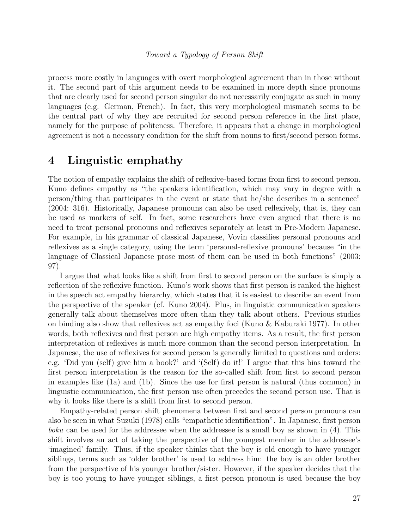process more costly in languages with overt morphological agreement than in those without it. The second part of this argument needs to be examined in more depth since pronouns that are clearly used for second person singular do not necessarily conjugate as such in many languages (e.g. German, French). In fact, this very morphological mismatch seems to be the central part of why they are recruited for second person reference in the first place, namely for the purpose of politeness. Therefore, it appears that a change in morphological agreement is not a necessary condition for the shift from nouns to first/second person forms.

## 4 Linguistic emphathy

The notion of empathy explains the shift of reflexive-based forms from first to second person. Kuno defines empathy as "the speakers identification, which may vary in degree with a person/thing that participates in the event or state that he/she describes in a sentence" (2004: 316). Historically, Japanese pronouns can also be used reflexively, that is, they can be used as markers of self. In fact, some researchers have even argued that there is no need to treat personal pronouns and reflexives separately at least in Pre-Modern Japanese. For example, in his grammar of classical Japanese, Vovin classifies personal pronouns and reflexives as a single category, using the term 'personal-reflexive pronouns' because "in the language of Classical Japanese prose most of them can be used in both functions" (2003: 97).

I argue that what looks like a shift from first to second person on the surface is simply a reflection of the reflexive function. Kuno's work shows that first person is ranked the highest in the speech act empathy hierarchy, which states that it is easiest to describe an event from the perspective of the speaker (cf. Kuno 2004). Plus, in linguistic communication speakers generally talk about themselves more often than they talk about others. Previous studies on binding also show that reflexives act as empathy foci (Kuno & Kaburaki 1977). In other words, both reflexives and first person are high empathy items. As a result, the first person interpretation of reflexives is much more common than the second person interpretation. In Japanese, the use of reflexives for second person is generally limited to questions and orders: e.g. 'Did you (self) give him a book?' and '(Self) do it!' I argue that this bias toward the first person interpretation is the reason for the so-called shift from first to second person in examples like (1a) and (1b). Since the use for first person is natural (thus common) in linguistic communication, the first person use often precedes the second person use. That is why it looks like there is a shift from first to second person.

Empathy-related person shift phenomena between first and second person pronouns can also be seen in what Suzuki (1978) calls "empathetic identification". In Japanese, first person boku can be used for the addressee when the addressee is a small boy as shown in (4). This shift involves an act of taking the perspective of the youngest member in the addressee's 'imagined' family. Thus, if the speaker thinks that the boy is old enough to have younger siblings, terms such as 'older brother' is used to address him: the boy is an older brother from the perspective of his younger brother/sister. However, if the speaker decides that the boy is too young to have younger siblings, a first person pronoun is used because the boy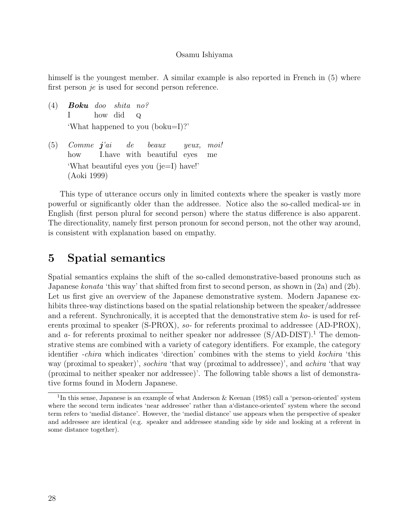himself is the youngest member. A similar example is also reported in French in (5) where first person je is used for second person reference.

- $(4)$  **Boku** doo I how did shita no?  $\mathbf{Q}$ 'What happened to you (boku=I)?'
- $(5)$  Comme  $j'ai$ how I.have with beautiful eyes de beaux yeux, moi! me 'What beautiful eyes you (je=I) have!' (Aoki 1999)

This type of utterance occurs only in limited contexts where the speaker is vastly more powerful or significantly older than the addressee. Notice also the so-called medical-we in English (first person plural for second person) where the status difference is also apparent. The directionality, namely first person pronoun for second person, not the other way around, is consistent with explanation based on empathy.

# 5 Spatial semantics

Spatial semantics explains the shift of the so-called demonstrative-based pronouns such as Japanese konata 'this way' that shifted from first to second person, as shown in (2a) and (2b). Let us first give an overview of the Japanese demonstrative system. Modern Japanese exhibits three-way distinctions based on the spatial relationship between the speaker/addressee and a referent. Synchronically, it is accepted that the demonstrative stem ko- is used for referents proximal to speaker (S-PROX), so- for referents proximal to addressee (AD-PROX), and a- for referents proximal to neither speaker nor addressee  $(S/AD-DIST).<sup>1</sup>$  The demonstrative stems are combined with a variety of category identifiers. For example, the category identifier -chira which indicates 'direction' combines with the stems to yield kochira 'this way (proximal to speaker)', sochira 'that way (proximal to addressee)', and achira 'that way (proximal to neither speaker nor addressee)'. The following table shows a list of demonstrative forms found in Modern Japanese.

<sup>&</sup>lt;sup>1</sup>In this sense, Japanese is an example of what Anderson & Keenan (1985) call a 'person-oriented' system where the second term indicates 'near addressee' rather than a'distance-oriented' system where the second term refers to 'medial distance'. However, the 'medial distance' use appears when the perspective of speaker and addressee are identical (e.g. speaker and addressee standing side by side and looking at a referent in some distance together).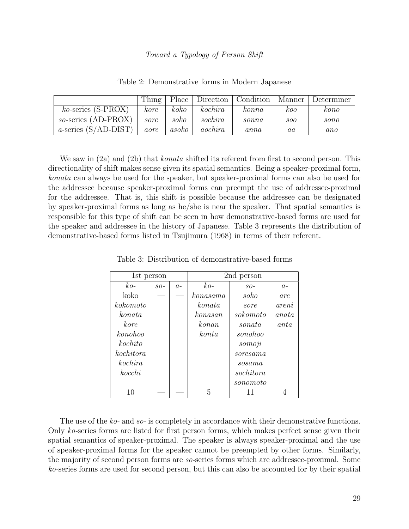|                              | Thing | Place | Direction | Condition     | Manner     | Determiner |
|------------------------------|-------|-------|-----------|---------------|------------|------------|
| $ko$ -series (S-PROX)        | kore  | koko  | kochira   | $\kappa$ onna | koo        | kono       |
| $so\text{-series (AD-PROX)}$ | sore  | soko  | sochira   | $\it{sonna}$  | <i>soo</i> | sono       |
| a-series $(S/AD-DIST)$       | aore  | asoko | aochira   | anna          | $^{aa}$    | ano        |

Table 2: Demonstrative forms in Modern Japanese

We saw in (2a) and (2b) that *konata* shifted its referent from first to second person. This directionality of shift makes sense given its spatial semantics. Being a speaker-proximal form, konata can always be used for the speaker, but speaker-proximal forms can also be used for the addressee because speaker-proximal forms can preempt the use of addressee-proximal for the addressee. That is, this shift is possible because the addressee can be designated by speaker-proximal forms as long as he/she is near the speaker. That spatial semantics is responsible for this type of shift can be seen in how demonstrative-based forms are used for the speaker and addressee in the history of Japanese. Table 3 represents the distribution of demonstrative-based forms listed in Tsujimura (1968) in terms of their referent.

| 1st person |       |      | 2nd person |                                                              |       |
|------------|-------|------|------------|--------------------------------------------------------------|-------|
| $ko-$      | $SO-$ | $a-$ | $ko-$      | $SO-$                                                        | $a-$  |
| koko       |       |      | konasama   | soko                                                         | are   |
| kokomoto   |       |      | konata     | sore                                                         | areni |
| konata     |       |      | konasan    | sokomoto                                                     | anata |
| kore.      |       |      | konan      | sonata                                                       | anta  |
| konohoo    |       |      | konta      | sonohoo                                                      |       |
| kochito    |       |      |            | somoji                                                       |       |
| kochitora  |       |      |            | $\,$ s $\,$ o $\,$ r $\,$ e $\,$ s $\,$ a $\,$ m $\,$ a $\,$ |       |
| kochira    |       |      |            | sosama                                                       |       |
| kocchi     |       |      |            | sochitora                                                    |       |
|            |       |      |            | sonomoto                                                     |       |
| 10         |       |      | 5          | 11                                                           |       |

Table 3: Distribution of demonstrative-based forms

The use of the ko- and so- is completely in accordance with their demonstrative functions. Only ko-series forms are listed for first person forms, which makes perfect sense given their spatial semantics of speaker-proximal. The speaker is always speaker-proximal and the use of speaker-proximal forms for the speaker cannot be preempted by other forms. Similarly, the majority of second person forms are so-series forms which are addressee-proximal. Some ko-series forms are used for second person, but this can also be accounted for by their spatial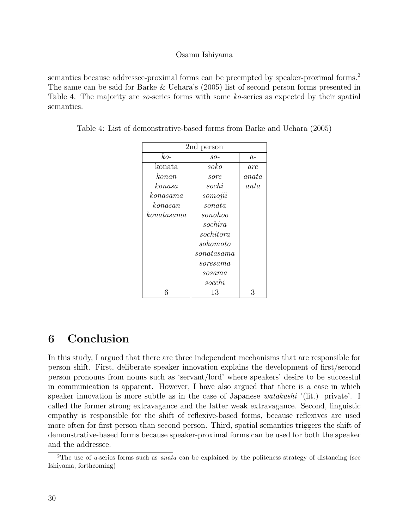semantics because addressee-proximal forms can be preempted by speaker-proximal forms.<sup>2</sup> The same can be said for Barke & Uehara's (2005) list of second person forms presented in Table 4. The majority are so-series forms with some ko-series as expected by their spatial semantics.

| 2nd person                                                     |                                                              |       |  |  |
|----------------------------------------------------------------|--------------------------------------------------------------|-------|--|--|
| $ko-$                                                          | $SO-$                                                        | $a-$  |  |  |
| konata                                                         | soko                                                         | are   |  |  |
| konan                                                          | sore                                                         | anata |  |  |
| konasa                                                         | sochi                                                        | anta  |  |  |
| konasama                                                       | somojii                                                      |       |  |  |
| konasan                                                        | sonata                                                       |       |  |  |
| $\,$ kon $\,$ a $\,$ t $\,$ a $\,$ s $\,$ a $\,$ m $\,$ a $\,$ | sonohoo                                                      |       |  |  |
|                                                                | sochira                                                      |       |  |  |
|                                                                | $\it{sochitora}$                                             |       |  |  |
|                                                                | $\it sokomoto$                                               |       |  |  |
|                                                                | sonatasama                                                   |       |  |  |
|                                                                | $\,$ s $\,$ o $\,$ r $\,$ e $\,$ s $\,$ a $\,$ m $\,$ a $\,$ |       |  |  |
|                                                                | sosama                                                       |       |  |  |
|                                                                | socchi                                                       |       |  |  |
|                                                                | 13                                                           | 3     |  |  |

Table 4: List of demonstrative-based forms from Barke and Uehara (2005)

# 6 Conclusion

In this study, I argued that there are three independent mechanisms that are responsible for person shift. First, deliberate speaker innovation explains the development of first/second person pronouns from nouns such as 'servant/lord' where speakers' desire to be successful in communication is apparent. However, I have also argued that there is a case in which speaker innovation is more subtle as in the case of Japanese *watakushi* '(lit.) private'. I called the former strong extravagance and the latter weak extravagance. Second, linguistic empathy is responsible for the shift of reflexive-based forms, because reflexives are used more often for first person than second person. Third, spatial semantics triggers the shift of demonstrative-based forms because speaker-proximal forms can be used for both the speaker and the addressee.

<sup>&</sup>lt;sup>2</sup>The use of *a*-series forms such as *anata* can be explained by the politeness strategy of distancing (see Ishiyama, forthcoming)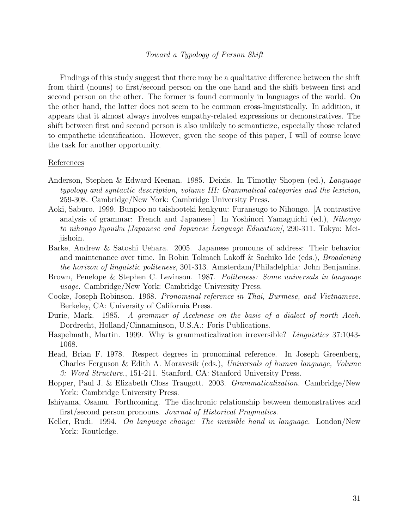Findings of this study suggest that there may be a qualitative difference between the shift from third (nouns) to first/second person on the one hand and the shift between first and second person on the other. The former is found commonly in languages of the world. On the other hand, the latter does not seem to be common cross-linguistically. In addition, it appears that it almost always involves empathy-related expressions or demonstratives. The shift between first and second person is also unlikely to semanticize, especially those related to empathetic identification. However, given the scope of this paper, I will of course leave the task for another opportunity.

#### References

- Anderson, Stephen & Edward Keenan. 1985. Deixis. In Timothy Shopen (ed.), Language typology and syntactic description, volume III: Grammatical categories and the lexicion, 259-308. Cambridge/New York: Cambridge University Press.
- Aoki, Saburo. 1999. Bunpoo no taishooteki kenkyuu: Furansugo to Nihongo. [A contrastive analysis of grammar: French and Japanese.] In Yoshinori Yamaguichi (ed.), Nihongo to nihongo kyouiku [Japanese and Japanese Language Education], 290-311. Tokyo: Meijishoin.
- Barke, Andrew & Satoshi Uehara. 2005. Japanese pronouns of address: Their behavior and maintenance over time. In Robin Tolmach Lakoff & Sachiko Ide (eds.), *Broadening* the horizon of linguistic politeness, 301-313. Amsterdam/Philadelphia: John Benjamins.
- Brown, Penelope & Stephen C. Levinson. 1987. Politeness: Some universals in language usage. Cambridge/New York: Cambridge University Press.
- Cooke, Joseph Robinson. 1968. Pronominal reference in Thai, Burmese, and Vietnamese. Berkeley, CA: University of California Press.
- Durie, Mark. 1985. A grammar of Acehnese on the basis of a dialect of north Aceh. Dordrecht, Holland/Cinnaminson, U.S.A.: Foris Publications.
- Haspelmath, Martin. 1999. Why is grammaticalization irreversible? Linguistics 37:1043- 1068.
- Head, Brian F. 1978. Respect degrees in pronominal reference. In Joseph Greenberg, Charles Ferguson & Edith A. Moravcsik (eds.), Universals of human language, Volume 3: Word Structure., 151-211. Stanford, CA: Stanford University Press.
- Hopper, Paul J. & Elizabeth Closs Traugott. 2003. Grammaticalization. Cambridge/New York: Cambridge University Press.
- Ishiyama, Osamu. Forthcoming. The diachronic relationship between demonstratives and first/second person pronouns. Journal of Historical Pragmatics.
- Keller, Rudi. 1994. On language change: The invisible hand in language. London/New York: Routledge.